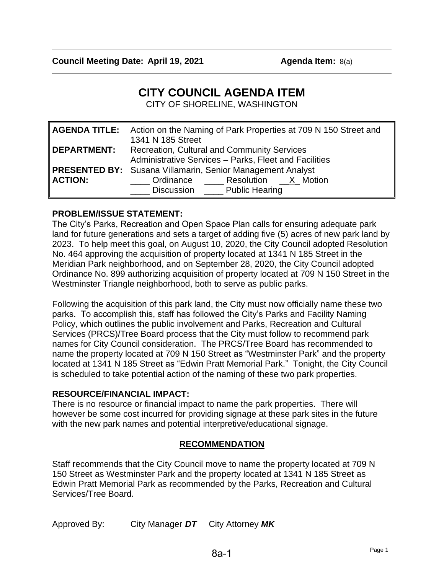# **CITY COUNCIL AGENDA ITEM**

CITY OF SHORELINE, WASHINGTON

|                    | <b>AGENDA TITLE:</b> Action on the Naming of Park Properties at 709 N 150 Street and<br>1341 N 185 Street                                       |  |  |
|--------------------|-------------------------------------------------------------------------------------------------------------------------------------------------|--|--|
| <b>DEPARTMENT:</b> | <b>Recreation, Cultural and Community Services</b><br>Administrative Services - Parks, Fleet and Facilities                                     |  |  |
| <b>ACTION:</b>     | <b>PRESENTED BY:</b> Susana Villamarin, Senior Management Analyst<br>Crdinance ________ Resolution _____X__ Motion<br>Discussion Public Hearing |  |  |

#### **PROBLEM/ISSUE STATEMENT:**

The City's Parks, Recreation and Open Space Plan calls for ensuring adequate park land for future generations and sets a target of adding five (5) acres of new park land by 2023. To help meet this goal, on August 10, 2020, the City Council adopted Resolution No. 464 approving the acquisition of property located at 1341 N 185 Street in the Meridian Park neighborhood, and on September 28, 2020, the City Council adopted Ordinance No. 899 authorizing acquisition of property located at 709 N 150 Street in the Westminster Triangle neighborhood, both to serve as public parks.

Following the acquisition of this park land, the City must now officially name these two parks. To accomplish this, staff has followed the City's Parks and Facility Naming Policy, which outlines the public involvement and Parks, Recreation and Cultural Services (PRCS)/Tree Board process that the City must follow to recommend park names for City Council consideration. The PRCS/Tree Board has recommended to name the property located at 709 N 150 Street as "Westminster Park" and the property located at 1341 N 185 Street as "Edwin Pratt Memorial Park." Tonight, the City Council is scheduled to take potential action of the naming of these two park properties.

## **RESOURCE/FINANCIAL IMPACT:**

There is no resource or financial impact to name the park properties. There will however be some cost incurred for providing signage at these park sites in the future with the new park names and potential interpretive/educational signage.

#### **RECOMMENDATION**

Staff recommends that the City Council move to name the property located at 709 N 150 Street as Westminster Park and the property located at 1341 N 185 Street as Edwin Pratt Memorial Park as recommended by the Parks, Recreation and Cultural Services/Tree Board.

Approved By: City Manager *DT* City Attorney *MK*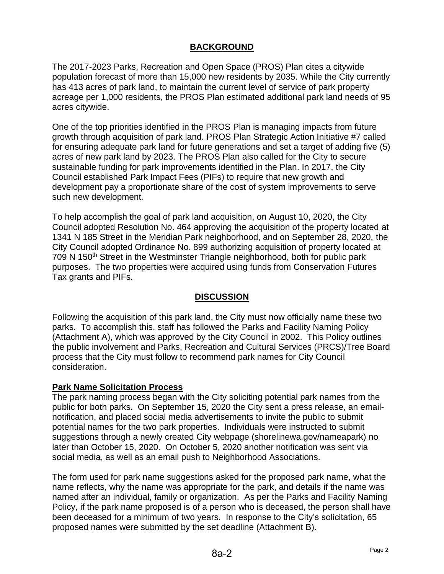### **BACKGROUND**

The 2017-2023 Parks, Recreation and Open Space (PROS) Plan cites a citywide population forecast of more than 15,000 new residents by 2035. While the City currently has 413 acres of park land, to maintain the current level of service of park property acreage per 1,000 residents, the PROS Plan estimated additional park land needs of 95 acres citywide.

One of the top priorities identified in the PROS Plan is managing impacts from future growth through acquisition of park land. PROS Plan Strategic Action Initiative #7 called for ensuring adequate park land for future generations and set a target of adding five (5) acres of new park land by 2023. The PROS Plan also called for the City to secure sustainable funding for park improvements identified in the Plan. In 2017, the City Council established Park Impact Fees (PIFs) to require that new growth and development pay a proportionate share of the cost of system improvements to serve such new development.

To help accomplish the goal of park land acquisition, on August 10, 2020, the City Council adopted Resolution No. 464 approving the acquisition of the property located at 1341 N 185 Street in the Meridian Park neighborhood, and on September 28, 2020, the City Council adopted Ordinance No. 899 authorizing acquisition of property located at 709 N 150<sup>th</sup> Street in the Westminster Triangle neighborhood, both for public park purposes. The two properties were acquired using funds from Conservation Futures Tax grants and PIFs.

#### **DISCUSSION**

Following the acquisition of this park land, the City must now officially name these two parks. To accomplish this, staff has followed the Parks and Facility Naming Policy (Attachment A), which was approved by the City Council in 2002. This Policy outlines the public involvement and Parks, Recreation and Cultural Services (PRCS)/Tree Board process that the City must follow to recommend park names for City Council consideration.

#### **Park Name Solicitation Process**

The park naming process began with the City soliciting potential park names from the public for both parks. On September 15, 2020 the City sent a press release, an emailnotification, and placed social media advertisements to invite the public to submit potential names for the two park properties. Individuals were instructed to submit suggestions through a newly created City webpage (shorelinewa.gov/nameapark) no later than October 15, 2020. On October 5, 2020 another notification was sent via social media, as well as an email push to Neighborhood Associations.

The form used for park name suggestions asked for the proposed park name, what the name reflects, why the name was appropriate for the park, and details if the name was named after an individual, family or organization. As per the Parks and Facility Naming Policy, if the park name proposed is of a person who is deceased, the person shall have been deceased for a minimum of two years. In response to the City's solicitation, 65 proposed names were submitted by the set deadline (Attachment B).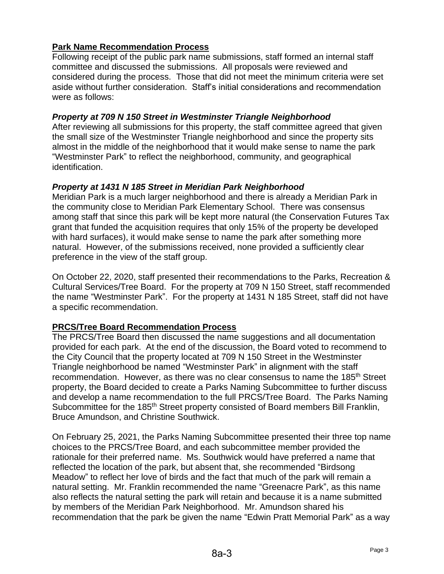## **Park Name Recommendation Process**

Following receipt of the public park name submissions, staff formed an internal staff committee and discussed the submissions. All proposals were reviewed and considered during the process. Those that did not meet the minimum criteria were set aside without further consideration. Staff's initial considerations and recommendation were as follows:

#### *Property at 709 N 150 Street in Westminster Triangle Neighborhood*

After reviewing all submissions for this property, the staff committee agreed that given the small size of the Westminster Triangle neighborhood and since the property sits almost in the middle of the neighborhood that it would make sense to name the park "Westminster Park" to reflect the neighborhood, community, and geographical identification.

#### *Property at 1431 N 185 Street in Meridian Park Neighborhood*

Meridian Park is a much larger neighborhood and there is already a Meridian Park in the community close to Meridian Park Elementary School. There was consensus among staff that since this park will be kept more natural (the Conservation Futures Tax grant that funded the acquisition requires that only 15% of the property be developed with hard surfaces), it would make sense to name the park after something more natural. However, of the submissions received, none provided a sufficiently clear preference in the view of the staff group.

On October 22, 2020, staff presented their recommendations to the Parks, Recreation & Cultural Services/Tree Board. For the property at 709 N 150 Street, staff recommended the name "Westminster Park". For the property at 1431 N 185 Street, staff did not have a specific recommendation.

## **PRCS/Tree Board Recommendation Process**

The PRCS/Tree Board then discussed the name suggestions and all documentation provided for each park. At the end of the discussion, the Board voted to recommend to the City Council that the property located at 709 N 150 Street in the Westminster Triangle neighborhood be named "Westminster Park" in alignment with the staff recommendation. However, as there was no clear consensus to name the 185th Street property, the Board decided to create a Parks Naming Subcommittee to further discuss and develop a name recommendation to the full PRCS/Tree Board. The Parks Naming Subcommittee for the 185<sup>th</sup> Street property consisted of Board members Bill Franklin, Bruce Amundson, and Christine Southwick.

On February 25, 2021, the Parks Naming Subcommittee presented their three top name choices to the PRCS/Tree Board, and each subcommittee member provided the rationale for their preferred name. Ms. Southwick would have preferred a name that reflected the location of the park, but absent that, she recommended "Birdsong Meadow" to reflect her love of birds and the fact that much of the park will remain a natural setting. Mr. Franklin recommended the name "Greenacre Park", as this name also reflects the natural setting the park will retain and because it is a name submitted by members of the Meridian Park Neighborhood. Mr. Amundson shared his recommendation that the park be given the name "Edwin Pratt Memorial Park" as a way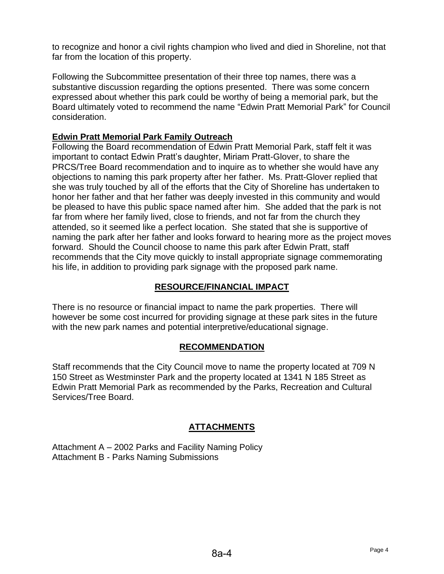to recognize and honor a civil rights champion who lived and died in Shoreline, not that far from the location of this property.

Following the Subcommittee presentation of their three top names, there was a substantive discussion regarding the options presented. There was some concern expressed about whether this park could be worthy of being a memorial park, but the Board ultimately voted to recommend the name "Edwin Pratt Memorial Park" for Council consideration.

### **Edwin Pratt Memorial Park Family Outreach**

Following the Board recommendation of Edwin Pratt Memorial Park, staff felt it was important to contact Edwin Pratt's daughter, Miriam Pratt-Glover, to share the PRCS/Tree Board recommendation and to inquire as to whether she would have any objections to naming this park property after her father. Ms. Pratt-Glover replied that she was truly touched by all of the efforts that the City of Shoreline has undertaken to honor her father and that her father was deeply invested in this community and would be pleased to have this public space named after him. She added that the park is not far from where her family lived, close to friends, and not far from the church they attended, so it seemed like a perfect location. She stated that she is supportive of naming the park after her father and looks forward to hearing more as the project moves forward. Should the Council choose to name this park after Edwin Pratt, staff recommends that the City move quickly to install appropriate signage commemorating his life, in addition to providing park signage with the proposed park name.

### **RESOURCE/FINANCIAL IMPACT**

There is no resource or financial impact to name the park properties. There will however be some cost incurred for providing signage at these park sites in the future with the new park names and potential interpretive/educational signage.

#### **RECOMMENDATION**

Staff recommends that the City Council move to name the property located at 709 N 150 Street as Westminster Park and the property located at 1341 N 185 Street as Edwin Pratt Memorial Park as recommended by the Parks, Recreation and Cultural Services/Tree Board.

## **ATTACHMENTS**

Attachment A – 2002 Parks and Facility Naming Policy Attachment B - Parks Naming Submissions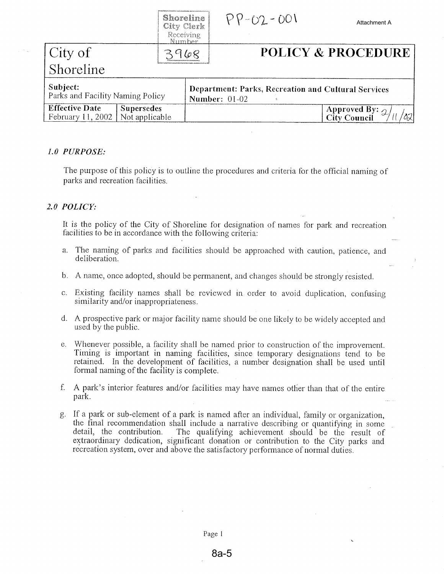|                                                                                   | Shoreline<br>City Clerk<br>Receiving<br>Number | $PP - O2 - OO1$                                                                    | Attachment A                             |  |
|-----------------------------------------------------------------------------------|------------------------------------------------|------------------------------------------------------------------------------------|------------------------------------------|--|
| City of                                                                           |                                                |                                                                                    | <b>POLICY &amp; PROCEDURE</b>            |  |
| Shoreline                                                                         |                                                |                                                                                    |                                          |  |
| Subject:<br>Parks and Facility Naming Policy                                      |                                                | <b>Department: Parks, Recreation and Cultural Services</b><br><b>Number: 01-02</b> |                                          |  |
| <b>Effective Date</b><br><b>Supersedes</b><br>Not applicable<br>February 11, 2002 |                                                |                                                                                    | Approved By: $\frac{2}{\sqrt{2}}$<br>821 |  |

#### 1.0 PURPOSE:

The purpose of this policy is to outline the procedures and criteria for the official naming of parks and recreation facilities.

#### 2.0 POLICY:

It is the policy of the City of Shoreline for designation of names for park and recreation facilities to be in accordance with the following criteria:

- The naming of parks and facilities should be approached with caution, patience, and a. deliberation.
- b. A name, once adopted, should be permanent, and changes should be strongly resisted.
- c. Existing facility names shall be reviewed in order to avoid duplication, confusing similarity and/or inappropriateness.
- d. A prospective park or major facility name should be one likely to be widely accepted and used by the public.
- e. Whenever possible, a facility shall be named prior to construction of the improvement. Timing is important in naming facilities, since temporary designations tend to be retained. In the development of facilities, a number designation shall be used until formal naming of the facility is complete.
- f. A park's interior features and/or facilities may have names other than that of the entire park.
- g. If a park or sub-element of a park is named after an individual, family or organization, the final recommendation shall include a narrative describing or quantifying in some detail, the contribution. The qualifying achievement should be the result of extraordinary dedication, significant donation or contribution to the City parks and recreation system, over and above the satisfactory performance of normal duties.

Page 1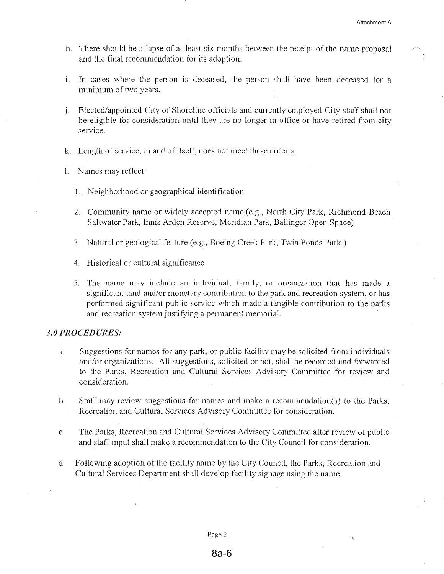- h. There should be a lapse of at least six months between the receipt of the name proposal and the final recommendation for its adoption.
- i. In cases where the person is deceased, the person shall have been deceased for a minimum of two years.
- j. Elected/appointed City of Shoreline officials and currently employed City staff shall not be eligible for consideration until they are no longer in office or have retired from city service.
- k. Length of service, in and of itself, does not meet these criteria.
- 1. Names may reflect:
	- 1. Neighborhood or geographical identification
	- 2. Community name or widely accepted name, (e.g., North City Park, Richmond Beach Saltwater Park, Innis Arden Reserve, Meridian Park, Ballinger Open Space)
	- 3. Natural or geological feature (e.g., Boeing Creek Park, Twin Ponds Park)
	- 4. Historical or cultural significance
	- 5. The name may include an individual, family, or organization that has made a significant land and/or monetary contribution to the park and recreation system, or has performed significant public service which made a tangible contribution to the parks and recreation system justifying a permanent memorial.

#### 3.0 PROCEDURES:

- Suggestions for names for any park, or public facility may be solicited from individuals  $\overline{a}$ . and/or organizations. All suggestions, solicited or not, shall be recorded and forwarded to the Parks, Recreation and Cultural Services Advisory Committee for review and consideration.
- Staff may review suggestions for names and make a recommendation(s) to the Parks,  $\mathbf{b}$ . Recreation and Cultural Services Advisory Committee for consideration.
- The Parks, Recreation and Cultural Services Advisory Committee after review of public  $C<sub>1</sub>$ and staff input shall make a recommendation to the City Council for consideration.
- Following adoption of the facility name by the City Council, the Parks, Recreation and  $\mathbf{d}$ . Cultural Services Department shall develop facility signage using the name.

Page 2

#### $8a-6$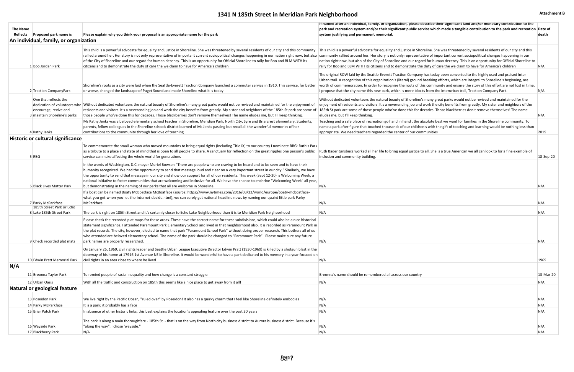| It named atter an individual, tamily, or organization, please describe their signiticant land and/or monetary contribution to the<br>park and recreation system and/or their significant public service which made a tangible contribution to the park and recreation Date of<br>system justifying and permanent memorial.                                                                                                                                                                                                                    | death      |
|-----------------------------------------------------------------------------------------------------------------------------------------------------------------------------------------------------------------------------------------------------------------------------------------------------------------------------------------------------------------------------------------------------------------------------------------------------------------------------------------------------------------------------------------------|------------|
|                                                                                                                                                                                                                                                                                                                                                                                                                                                                                                                                               |            |
| This child is a powerful advocate for equality and justice in Shoreline. She was threatened by several residents of our city and this<br>community rallied around her. Her story is not only representative of important current sociopolitical changes happening in our<br>nation right now, but also of the City of Shoreline and our regard for human decency. This is an opportunity for Official Shoreline to<br>rally for Boo and BLM WITH its citizens and to demonstrate the duty of care the we claim to have for America's children | N/A        |
| The original ROW laid by the Seattle-Everett Traction Company has today been converted to the highly used and praised Inter-<br>Urban trail. A recognition of this organization's (literal) ground breaking efforts, which are integral to Shoreline's beginning, are<br>worth of commemoration. In order to recognize the roots of this community and ensure the story of this effort are not lost in time,<br>I propose that the city name this new park, which is mere blocks from the interurban trail, Traction Company Park.            | N/A        |
| Without dedicated volunteers the natural beauty of Shoreline's many great parks would not be revived and maintained for the<br>enjoyment of residents and visitors. It's a neverending job and work the city benefits from greatly. My sister and neighbors of the<br>185th St park are some of those people who've done this for decades. Those blackberries don't remove themselves! The name<br>eludes me, but I'll keep thinking.                                                                                                         | N/A        |
| Teaching and a safe place of recreation go hand in hand, the absolute best we want for families in the Shoreline community. To<br>name a park after figure that touched thousands of our children's with the gift of teaching and learning would be nothing less than<br>appropriate. We need teachers regarded the center of our communities                                                                                                                                                                                                 | 2019       |
|                                                                                                                                                                                                                                                                                                                                                                                                                                                                                                                                               |            |
| Ruth Bader Ginsburg worked all her life to bring equal justice to all. She is a true American we all can look to for a fine example of<br>inclusion and community building.                                                                                                                                                                                                                                                                                                                                                                   | 18-Sep-20  |
|                                                                                                                                                                                                                                                                                                                                                                                                                                                                                                                                               |            |
| N/A                                                                                                                                                                                                                                                                                                                                                                                                                                                                                                                                           | N/A        |
| N/A                                                                                                                                                                                                                                                                                                                                                                                                                                                                                                                                           | N/A        |
| N/A                                                                                                                                                                                                                                                                                                                                                                                                                                                                                                                                           | N/A        |
|                                                                                                                                                                                                                                                                                                                                                                                                                                                                                                                                               |            |
| N/A                                                                                                                                                                                                                                                                                                                                                                                                                                                                                                                                           | N/A        |
| N/A                                                                                                                                                                                                                                                                                                                                                                                                                                                                                                                                           | 1969       |
| Breonna's name should be remembered all across our country                                                                                                                                                                                                                                                                                                                                                                                                                                                                                    | 13-Mar-20  |
| N/A                                                                                                                                                                                                                                                                                                                                                                                                                                                                                                                                           | N/A        |
|                                                                                                                                                                                                                                                                                                                                                                                                                                                                                                                                               |            |
| N/A                                                                                                                                                                                                                                                                                                                                                                                                                                                                                                                                           | N/A        |
| N/A                                                                                                                                                                                                                                                                                                                                                                                                                                                                                                                                           | N/A        |
| N/A                                                                                                                                                                                                                                                                                                                                                                                                                                                                                                                                           | N/A        |
|                                                                                                                                                                                                                                                                                                                                                                                                                                                                                                                                               |            |
| N/A<br>N/A                                                                                                                                                                                                                                                                                                                                                                                                                                                                                                                                    | N/A<br>N/A |
|                                                                                                                                                                                                                                                                                                                                                                                                                                                                                                                                               |            |

# **1341 N 185th Street in Meridian Park Neighborhood Attachment B Attachment B**

| The Name<br>Reflects | <b>Proposed park name is</b>                                                    | Please explain why you think your proposal is an appropriate name for the park                                                                                                                                                                                                                                                                                                                                                                                                                                                                                                                                                                                         | If named after an individual, family, or organization, please describe their significant land and/or monetary contribution to the<br>park and recreation system and/or their significant public service which made a tangible contribution to the park and recreation Date of<br>system justifying and permanent memorial.                                                                                                                                                                                                                    | death     |
|----------------------|---------------------------------------------------------------------------------|------------------------------------------------------------------------------------------------------------------------------------------------------------------------------------------------------------------------------------------------------------------------------------------------------------------------------------------------------------------------------------------------------------------------------------------------------------------------------------------------------------------------------------------------------------------------------------------------------------------------------------------------------------------------|-----------------------------------------------------------------------------------------------------------------------------------------------------------------------------------------------------------------------------------------------------------------------------------------------------------------------------------------------------------------------------------------------------------------------------------------------------------------------------------------------------------------------------------------------|-----------|
|                      | An individual, family, or organization                                          |                                                                                                                                                                                                                                                                                                                                                                                                                                                                                                                                                                                                                                                                        |                                                                                                                                                                                                                                                                                                                                                                                                                                                                                                                                               |           |
|                      | 1 Boo Jordan Park                                                               | This child is a powerful advocate for equality and justice in Shoreline. She was threatened by several residents of our city and this community<br>rallied around her. Her story is not only representative of important current sociopolitical changes happening in our nation right now, but also<br>of the City of Shoreline and our regard for human decency. This is an opportunity for Official Shoreline to rally for Boo and BLM WITH its<br>citizens and to demonstrate the duty of care the we claim to have for America's children                                                                                                                          | This child is a powerful advocate for equality and justice in Shoreline. She was threatened by several residents of our city and this<br>community rallied around her. Her story is not only representative of important current sociopolitical changes happening in our<br>nation right now, but also of the City of Shoreline and our regard for human decency. This is an opportunity for Official Shoreline to<br>rally for Boo and BLM WITH its citizens and to demonstrate the duty of care the we claim to have for America's children | N/A       |
|                      | 2 Traction CompanyPark                                                          | Shoreline's roots as a city were laid when the Seattle-Everett Traction Company launched a commuter service in 1910. This service, for better<br>or worse, changed the landscape of Puget Sound and made Shoreline what it is today                                                                                                                                                                                                                                                                                                                                                                                                                                    | The original ROW laid by the Seattle-Everett Traction Company has today been converted to the highly used and praised Inter-<br>Urban trail. A recognition of this organization's (literal) ground breaking efforts, which are integral to Shoreline's beginning, are<br>worth of commemoration. In order to recognize the roots of this community and ensure the story of this effort are not lost in time,<br>I propose that the city name this new park, which is mere blocks from the interurban trail, Traction Company Park.            | N/A       |
|                      | One that reflects the<br>encourage, revive and<br>3 maintain Shoreline's parks. | dedication of volunteers who Without dedicated volunteers the natural beauty of Shoreline's many great parks would not be revived and maintained for the enjoyment of<br>residents and visitors. It's a neverending job and work the city benefits from greatly. My sister and neighbors of the 185th St park are some of<br>those people who've done this for decades. Those blackberries don't remove themselves! The name eludes me, but I'll keep thinking.                                                                                                                                                                                                        | Without dedicated volunteers the natural beauty of Shoreline's many great parks would not be revived and maintained for the<br>enjoyment of residents and visitors. It's a neverending job and work the city benefits from greatly. My sister and neighbors of the<br>185th St park are some of those people who've done this for decades. Those blackberries don't remove themselves! The name<br>eludes me, but I'll keep thinking.                                                                                                         | N/A       |
|                      | 4 Kathy Jenks                                                                   | Ms Kathy Jenks was a beloved elementary school teacher in Shoreline, Meridian Park, North City, Syre and Briarcrest elementary. Students,<br>parents, fellow colleagues in the Shoreline schools district learned of Ms Jenks passing but recall all the wonderful memories of her<br>contributions to the community through her love of teaching                                                                                                                                                                                                                                                                                                                      | Teaching and a safe place of recreation go hand in hand, the absolute best we want for families in the Shoreline community. To<br>name a park after figure that touched thousands of our children's with the gift of teaching and learning would be nothing less than<br>appropriate. We need teachers regarded the center of our communities                                                                                                                                                                                                 | 2019      |
|                      | <b>Historic or cultural significance</b>                                        |                                                                                                                                                                                                                                                                                                                                                                                                                                                                                                                                                                                                                                                                        |                                                                                                                                                                                                                                                                                                                                                                                                                                                                                                                                               |           |
|                      | 5 RBG                                                                           | To commemorate the small woman who moved mountains to bring equal rights (including Title IX) to our country I nominate RBG: Ruth's Park<br>as a tribute to a place and state of mind that is open to all people to share. A sanctuary for reflection on the great ripples one person's public<br>service can make affecting the whole world for generations                                                                                                                                                                                                                                                                                                           | Ruth Bader Ginsburg worked all her life to bring equal justice to all. She is a true American we all can look to for a fine example of<br>inclusion and community building.                                                                                                                                                                                                                                                                                                                                                                   | 18-Sep-20 |
|                      | 6 Black Lives Matter Park                                                       | In the words of Washington, D.C. mayor Muriel Bowser: "There are people who are craving to be heard and to be seen and to have their<br>humanity recognized. We had the opportunity to send that message loud and clear on a very important street in our city." Similarly, we have<br>the opportunity to send that message in our city and show our support for all of our residents. This week (Sept 12-20) is Welcoming Week, a<br>national initiative to foster communities that are welcoming and inclusive for all. We have the chance to enshrine "Welcoming Week" all year,<br>but demonstrating in the naming of our parks that all are welcome in Shoreline. | N/A                                                                                                                                                                                                                                                                                                                                                                                                                                                                                                                                           | N/A       |
|                      | 7 Parky McParkface<br>185th Street Park or Echo                                 | If a boat can be named Boaty McBoatface McBoatface (source: https://www.nytimes.com/2016/03/22/world/europe/boaty-mcboatface-<br>what-you-get-when-you-let-the-internet-decide.html), we can surely get national headline news by naming our quaint little park Parky<br>McParkface.                                                                                                                                                                                                                                                                                                                                                                                   | N/A                                                                                                                                                                                                                                                                                                                                                                                                                                                                                                                                           | N/A       |
|                      | 8 Lake 185th Street Park                                                        | The park is right on 185th Street and it's certainly closer to Echo Lake Neighborhood than it is to Meridian Park Neighborhood                                                                                                                                                                                                                                                                                                                                                                                                                                                                                                                                         | N/A                                                                                                                                                                                                                                                                                                                                                                                                                                                                                                                                           | N/A       |
|                      | 9 Check recorded plat mats                                                      | Please check the recorded plat maps for these areas. These have the correct name for these subdivisions, which could also be a nice historical<br>statement significance. I attended Paramount Park Elementary School and lived in that neighborhood also. It is recorded as Paramount Park in<br>the plat records. The city, however, elected to name that park "Paramount School Park" without doing proper research. This bothers all of us<br>who attended are beloved elementary school. The name of the park should be changed to "Paramount Park". Please make sure any future<br>park names are properly researched.                                           | N/A                                                                                                                                                                                                                                                                                                                                                                                                                                                                                                                                           | N/A       |
|                      |                                                                                 | On January 26, 1969, civil rights leader and Seattle Urban League Executive Director Edwin Pratt (1930-1969) is killed by a shotgun blast in the<br>doorway of his home at 17916 1st Avenue NE in Shoreline. It would be wonderful to have a park dedicated to his memory in a year focused on                                                                                                                                                                                                                                                                                                                                                                         |                                                                                                                                                                                                                                                                                                                                                                                                                                                                                                                                               |           |
| N/A                  | 10 Edwin Pratt Memorial Park                                                    | civil rights in an area close to where he lived                                                                                                                                                                                                                                                                                                                                                                                                                                                                                                                                                                                                                        | N/A                                                                                                                                                                                                                                                                                                                                                                                                                                                                                                                                           | 1969      |
|                      |                                                                                 |                                                                                                                                                                                                                                                                                                                                                                                                                                                                                                                                                                                                                                                                        | Breonna's name should be remembered all across our country                                                                                                                                                                                                                                                                                                                                                                                                                                                                                    |           |
|                      | 11 Breonna Taylor Park                                                          | To remind people of racial inequality and how change is a constant struggle.                                                                                                                                                                                                                                                                                                                                                                                                                                                                                                                                                                                           |                                                                                                                                                                                                                                                                                                                                                                                                                                                                                                                                               | 13-Mar-20 |
|                      | 12 Urban Oasis<br>Natural or geological feature                                 | With all the traffic and construction on 185th this seems like a nice place to get away from it all!                                                                                                                                                                                                                                                                                                                                                                                                                                                                                                                                                                   | N/A                                                                                                                                                                                                                                                                                                                                                                                                                                                                                                                                           | N/A       |
|                      |                                                                                 |                                                                                                                                                                                                                                                                                                                                                                                                                                                                                                                                                                                                                                                                        |                                                                                                                                                                                                                                                                                                                                                                                                                                                                                                                                               |           |
|                      | 13 Poseidon Park                                                                | We live right by the Pacific Ocean, "ruled over" by Poseidon! It also has a quirky charm that I feel like Shoreline definitely embodies                                                                                                                                                                                                                                                                                                                                                                                                                                                                                                                                | N/A                                                                                                                                                                                                                                                                                                                                                                                                                                                                                                                                           | N/A       |
|                      | 14 Parky McParkface                                                             | It is a park; it probably has a face                                                                                                                                                                                                                                                                                                                                                                                                                                                                                                                                                                                                                                   | N/A                                                                                                                                                                                                                                                                                                                                                                                                                                                                                                                                           | N/A       |
|                      | 15 Briar Patch Park                                                             | In absence of other historic links, this best explains the location's appealing feature over the past 20 years<br>The park is along a main thoroughfare - 185th St. - that is on the way from North city business district to Aurora business district. Because it's                                                                                                                                                                                                                                                                                                                                                                                                   | N/A                                                                                                                                                                                                                                                                                                                                                                                                                                                                                                                                           | N/A       |
|                      | 16 Wayside Park                                                                 | "along the way", I chose 'wayside."                                                                                                                                                                                                                                                                                                                                                                                                                                                                                                                                                                                                                                    | N/A                                                                                                                                                                                                                                                                                                                                                                                                                                                                                                                                           | N/A       |
|                      | 17 Blackberry Park                                                              | N/A                                                                                                                                                                                                                                                                                                                                                                                                                                                                                                                                                                                                                                                                    | N/A                                                                                                                                                                                                                                                                                                                                                                                                                                                                                                                                           | N/A       |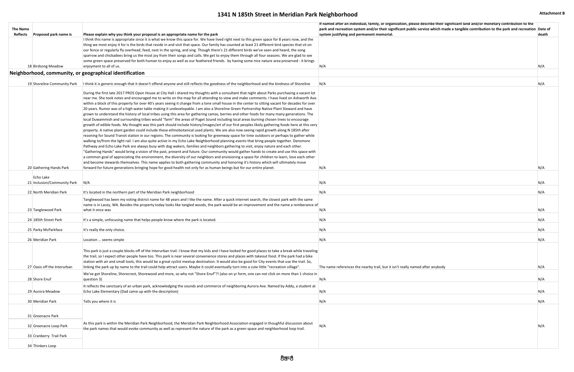| It named atter an individual, tamily, or organization, please describe their signiticant land and/or monetary contribution to the<br>park and recreation system and/or their significant public service which made a tangible contribution to the park and recreation Date of<br>system justifying and permanent memorial. | death |
|----------------------------------------------------------------------------------------------------------------------------------------------------------------------------------------------------------------------------------------------------------------------------------------------------------------------------|-------|
|                                                                                                                                                                                                                                                                                                                            |       |
|                                                                                                                                                                                                                                                                                                                            |       |
|                                                                                                                                                                                                                                                                                                                            |       |
|                                                                                                                                                                                                                                                                                                                            |       |
| N/A                                                                                                                                                                                                                                                                                                                        | N/A   |
|                                                                                                                                                                                                                                                                                                                            |       |
| N/A                                                                                                                                                                                                                                                                                                                        | N/A   |
|                                                                                                                                                                                                                                                                                                                            |       |
|                                                                                                                                                                                                                                                                                                                            |       |
|                                                                                                                                                                                                                                                                                                                            |       |
|                                                                                                                                                                                                                                                                                                                            |       |
|                                                                                                                                                                                                                                                                                                                            |       |
|                                                                                                                                                                                                                                                                                                                            |       |
|                                                                                                                                                                                                                                                                                                                            |       |
|                                                                                                                                                                                                                                                                                                                            |       |
|                                                                                                                                                                                                                                                                                                                            |       |
|                                                                                                                                                                                                                                                                                                                            |       |
|                                                                                                                                                                                                                                                                                                                            |       |
| N/A                                                                                                                                                                                                                                                                                                                        | N/A   |
|                                                                                                                                                                                                                                                                                                                            |       |
| N/A                                                                                                                                                                                                                                                                                                                        | N/A   |
|                                                                                                                                                                                                                                                                                                                            |       |
| N/A                                                                                                                                                                                                                                                                                                                        | N/A   |
|                                                                                                                                                                                                                                                                                                                            |       |
| N/A                                                                                                                                                                                                                                                                                                                        | N/A   |
| N/A                                                                                                                                                                                                                                                                                                                        | N/A   |
|                                                                                                                                                                                                                                                                                                                            |       |
| N/A                                                                                                                                                                                                                                                                                                                        | N/A   |
| N/A                                                                                                                                                                                                                                                                                                                        | N/A   |
|                                                                                                                                                                                                                                                                                                                            |       |
|                                                                                                                                                                                                                                                                                                                            |       |
|                                                                                                                                                                                                                                                                                                                            |       |
| The name references the nearby trail, but it isn't really named after anybody                                                                                                                                                                                                                                              | N/A   |
|                                                                                                                                                                                                                                                                                                                            |       |
| N/A                                                                                                                                                                                                                                                                                                                        | N/A   |
|                                                                                                                                                                                                                                                                                                                            |       |
| N/A                                                                                                                                                                                                                                                                                                                        | N/A   |
| N/A                                                                                                                                                                                                                                                                                                                        | N/A   |
|                                                                                                                                                                                                                                                                                                                            |       |
|                                                                                                                                                                                                                                                                                                                            |       |
| N/A                                                                                                                                                                                                                                                                                                                        | N/A   |
|                                                                                                                                                                                                                                                                                                                            |       |
|                                                                                                                                                                                                                                                                                                                            |       |
|                                                                                                                                                                                                                                                                                                                            |       |
|                                                                                                                                                                                                                                                                                                                            |       |

## **1341 N 185th Street in Meridian Park Neighborhood Attachment B Attachment B**

| <b>The Name</b><br>Reflects | <b>Proposed park name is</b>                    | Please explain why you think your proposal is an appropriate name for the park                                                                                                                                                                                                                                                                                                                                                                                                                                                                                                                                                                                                                                                                                                                                                                                                                                                                                                                                                                                                                                                                                                                                                                                                                                                                                                                                                                                                                                                                                                                                                                                                                                                                                                                                                                                                                                   | It named atter an individual, tamily, or organization, please describe their significant land and/or monetary contribution to the<br>park and recreation system and/or their significant public service which made a tangible contribution to the park and recreation Dat<br>system justifying and permanent memorial. | dea        |
|-----------------------------|-------------------------------------------------|------------------------------------------------------------------------------------------------------------------------------------------------------------------------------------------------------------------------------------------------------------------------------------------------------------------------------------------------------------------------------------------------------------------------------------------------------------------------------------------------------------------------------------------------------------------------------------------------------------------------------------------------------------------------------------------------------------------------------------------------------------------------------------------------------------------------------------------------------------------------------------------------------------------------------------------------------------------------------------------------------------------------------------------------------------------------------------------------------------------------------------------------------------------------------------------------------------------------------------------------------------------------------------------------------------------------------------------------------------------------------------------------------------------------------------------------------------------------------------------------------------------------------------------------------------------------------------------------------------------------------------------------------------------------------------------------------------------------------------------------------------------------------------------------------------------------------------------------------------------------------------------------------------------|------------------------------------------------------------------------------------------------------------------------------------------------------------------------------------------------------------------------------------------------------------------------------------------------------------------------|------------|
|                             |                                                 | I think this name is appropriate since it is what we know this space for. We have lived right next to this green space for 8 years now, and the                                                                                                                                                                                                                                                                                                                                                                                                                                                                                                                                                                                                                                                                                                                                                                                                                                                                                                                                                                                                                                                                                                                                                                                                                                                                                                                                                                                                                                                                                                                                                                                                                                                                                                                                                                  |                                                                                                                                                                                                                                                                                                                        |            |
|                             |                                                 | thing we most enjoy it for is the birds that reside in and visit that space. Our family has counted at least 21 different bird species that sit on<br>our fence or regularly fly overhead, feed, nest in the spring, and sing. Though there's 21 different birds we've seen and heard, the song<br>sparrow and chickadees bring us the most joy from their songs and calls. We get to enjoy them through all four seasons. We are glad to see                                                                                                                                                                                                                                                                                                                                                                                                                                                                                                                                                                                                                                                                                                                                                                                                                                                                                                                                                                                                                                                                                                                                                                                                                                                                                                                                                                                                                                                                    |                                                                                                                                                                                                                                                                                                                        |            |
|                             |                                                 | some green space preserved for both human to enjoy as well as our feathered friends. by having some nice nature area preserved - it brings                                                                                                                                                                                                                                                                                                                                                                                                                                                                                                                                                                                                                                                                                                                                                                                                                                                                                                                                                                                                                                                                                                                                                                                                                                                                                                                                                                                                                                                                                                                                                                                                                                                                                                                                                                       |                                                                                                                                                                                                                                                                                                                        |            |
|                             | 18 Birdsong Meadow                              | enjoyment to all of us.                                                                                                                                                                                                                                                                                                                                                                                                                                                                                                                                                                                                                                                                                                                                                                                                                                                                                                                                                                                                                                                                                                                                                                                                                                                                                                                                                                                                                                                                                                                                                                                                                                                                                                                                                                                                                                                                                          | N/A                                                                                                                                                                                                                                                                                                                    | N/A        |
|                             |                                                 | Neighborhood, community, or geographical identification                                                                                                                                                                                                                                                                                                                                                                                                                                                                                                                                                                                                                                                                                                                                                                                                                                                                                                                                                                                                                                                                                                                                                                                                                                                                                                                                                                                                                                                                                                                                                                                                                                                                                                                                                                                                                                                          |                                                                                                                                                                                                                                                                                                                        |            |
|                             | 19 Shoreline Community Park                     | It think it is generic enough that it doesn't offend anyone and still reflects the goodness of the neighborhood and the kindness of Shoreline                                                                                                                                                                                                                                                                                                                                                                                                                                                                                                                                                                                                                                                                                                                                                                                                                                                                                                                                                                                                                                                                                                                                                                                                                                                                                                                                                                                                                                                                                                                                                                                                                                                                                                                                                                    | N/A                                                                                                                                                                                                                                                                                                                    | N/A        |
|                             |                                                 | During the first late 2017 PROS Open House at City Hall i shared my thoughts with a consultant that night about Parks purchasing a vacant lot<br>near me. She took notes and encouraged me to write on the map for all attending to view and make comments. I have lived on Ashworth Ave.<br>within a block of this property for over 40's years seeing it change from a lone small house in the center to sitting vacant for decades for over<br>20 years. Rumor was of a high water table making it undevelopable. I am also a Shoreline Green Partnership Native Plant Steward and have<br>grown to understand the history of local tribes using this area for gathering camas, berries and other foods for many many generations. The<br>local Duwammish and surrounding tribes would "farm" the areas of Puget Sound including local areas burning chosen trees to encourage<br>growth of edible foods. My thought was this park should include history/images/art of our first peoples likely gathering foods here at this very<br>property. A native plant garden could include these ethnobotanical used plants. We are also now seeing rapid growth along N 185th after<br>rezoning for Sound Transit station in our regions. The community is looking for greenway space for time outdoors or perhaps to gather while<br>walking to/from the light rail. I am also quite active in my Echo Lake Neighborhood planning events that bring people together. Densmore<br>Pathway and Echo Lake Park are always busy with dog wakers, families and neighbors gathering to visit, enjoy nature and each other.<br>"Gathering Hands" would bring a vision of the past, present and future. Our community would gather hands to create and use this space with<br>a common goal of appreciating the environment, the diversity of our neighbors and envisioning a space for children to learn, love each other |                                                                                                                                                                                                                                                                                                                        |            |
|                             | 20 Gathering Hands Park                         | and become stewards themselves. This name applies to both gathering community and honoring it's history which will ultimately move<br>forward for future generations bringing hope for good health not only for as human beings but for our entire planet.                                                                                                                                                                                                                                                                                                                                                                                                                                                                                                                                                                                                                                                                                                                                                                                                                                                                                                                                                                                                                                                                                                                                                                                                                                                                                                                                                                                                                                                                                                                                                                                                                                                       | N/A                                                                                                                                                                                                                                                                                                                    | N/A        |
|                             | Echo Lake                                       |                                                                                                                                                                                                                                                                                                                                                                                                                                                                                                                                                                                                                                                                                                                                                                                                                                                                                                                                                                                                                                                                                                                                                                                                                                                                                                                                                                                                                                                                                                                                                                                                                                                                                                                                                                                                                                                                                                                  |                                                                                                                                                                                                                                                                                                                        |            |
|                             | 21 Inclusion/Community Park                     | N/A                                                                                                                                                                                                                                                                                                                                                                                                                                                                                                                                                                                                                                                                                                                                                                                                                                                                                                                                                                                                                                                                                                                                                                                                                                                                                                                                                                                                                                                                                                                                                                                                                                                                                                                                                                                                                                                                                                              | N/A                                                                                                                                                                                                                                                                                                                    | N/A        |
|                             | 22 North Meridian Park                          | It's located in the northern part of the Meridian Park neighborhood                                                                                                                                                                                                                                                                                                                                                                                                                                                                                                                                                                                                                                                                                                                                                                                                                                                                                                                                                                                                                                                                                                                                                                                                                                                                                                                                                                                                                                                                                                                                                                                                                                                                                                                                                                                                                                              | N/A                                                                                                                                                                                                                                                                                                                    | N/A        |
|                             | 23 Tanglewood Park                              | Tanglewood has been my voting district name for 48 years and I like the name. After a quick internet search, the closest park with the same<br>name is in Lacey, WA. Besides the property today looks like tangled woods, the park would be an improvement and the name a remberance of<br>what it once was                                                                                                                                                                                                                                                                                                                                                                                                                                                                                                                                                                                                                                                                                                                                                                                                                                                                                                                                                                                                                                                                                                                                                                                                                                                                                                                                                                                                                                                                                                                                                                                                      | N/A                                                                                                                                                                                                                                                                                                                    | N/A        |
|                             | 24 185th Street Park                            | It's a simple, unfocusing name that helps people know where the park is located.                                                                                                                                                                                                                                                                                                                                                                                                                                                                                                                                                                                                                                                                                                                                                                                                                                                                                                                                                                                                                                                                                                                                                                                                                                                                                                                                                                                                                                                                                                                                                                                                                                                                                                                                                                                                                                 | N/A                                                                                                                                                                                                                                                                                                                    | N/A        |
|                             | 25 Parky McParkface                             | It's really the only choice.                                                                                                                                                                                                                                                                                                                                                                                                                                                                                                                                                                                                                                                                                                                                                                                                                                                                                                                                                                                                                                                                                                                                                                                                                                                                                                                                                                                                                                                                                                                                                                                                                                                                                                                                                                                                                                                                                     | N/A                                                                                                                                                                                                                                                                                                                    | N/A        |
|                             |                                                 |                                                                                                                                                                                                                                                                                                                                                                                                                                                                                                                                                                                                                                                                                                                                                                                                                                                                                                                                                                                                                                                                                                                                                                                                                                                                                                                                                                                                                                                                                                                                                                                                                                                                                                                                                                                                                                                                                                                  |                                                                                                                                                                                                                                                                                                                        |            |
|                             | 26 Meridian Park<br>27 Oasis off the Interurban | Location  seems simple<br>This park is just a couple blocks off of the Interurban trail. I know that my kids and I have looked for good places to take a break while traveling<br>the trail, so I expect other people have too. This park is near several convenience stores and places with takeout food. If the park had a bike<br>station with air and small tools, this would be a great cyclist meetup destination. It would also be good for City events that use the trail. So,<br>linking the park up by name to the trail could help attract users. Maybe it could eventually turn into a cute little "recreation village".                                                                                                                                                                                                                                                                                                                                                                                                                                                                                                                                                                                                                                                                                                                                                                                                                                                                                                                                                                                                                                                                                                                                                                                                                                                                             | N/A<br>The name references the nearby trail, but it isn't really named after anybody                                                                                                                                                                                                                                   | N/A<br>N/A |
|                             | 28 Shore Enuf                                   | We've got Shoreline, Shorecrest, Shorewood and more, so why not "Shore Enuf"?! (also on yr form, one can not click on more than 1 choice in<br>question 3)                                                                                                                                                                                                                                                                                                                                                                                                                                                                                                                                                                                                                                                                                                                                                                                                                                                                                                                                                                                                                                                                                                                                                                                                                                                                                                                                                                                                                                                                                                                                                                                                                                                                                                                                                       | N/A                                                                                                                                                                                                                                                                                                                    | N/A        |
|                             | 29 Aurora Meadow                                | It reflects the sanctuary of an urban park, acknowledging the sounds and commerce of neighboring Aurora Ave. Named by Addy, a student at<br>Echo Lake Elementary (Dad came up with the description)                                                                                                                                                                                                                                                                                                                                                                                                                                                                                                                                                                                                                                                                                                                                                                                                                                                                                                                                                                                                                                                                                                                                                                                                                                                                                                                                                                                                                                                                                                                                                                                                                                                                                                              | N/A                                                                                                                                                                                                                                                                                                                    | N/A        |
|                             | 30 Meridian Park                                | Tells you where it is                                                                                                                                                                                                                                                                                                                                                                                                                                                                                                                                                                                                                                                                                                                                                                                                                                                                                                                                                                                                                                                                                                                                                                                                                                                                                                                                                                                                                                                                                                                                                                                                                                                                                                                                                                                                                                                                                            | N/A                                                                                                                                                                                                                                                                                                                    | N/A        |
|                             |                                                 |                                                                                                                                                                                                                                                                                                                                                                                                                                                                                                                                                                                                                                                                                                                                                                                                                                                                                                                                                                                                                                                                                                                                                                                                                                                                                                                                                                                                                                                                                                                                                                                                                                                                                                                                                                                                                                                                                                                  |                                                                                                                                                                                                                                                                                                                        |            |
|                             | 31 Greenacre Park                               |                                                                                                                                                                                                                                                                                                                                                                                                                                                                                                                                                                                                                                                                                                                                                                                                                                                                                                                                                                                                                                                                                                                                                                                                                                                                                                                                                                                                                                                                                                                                                                                                                                                                                                                                                                                                                                                                                                                  |                                                                                                                                                                                                                                                                                                                        |            |
|                             | 32 Greenacre Loop Park                          | As this park is within the Meridian Park Neighborhood, the Meridian Park Neighborhood Association engaged in thoughful discussion about<br>the park names that would evoke community as well as represent the nature of the park as a green space and neighborhood loop trail.                                                                                                                                                                                                                                                                                                                                                                                                                                                                                                                                                                                                                                                                                                                                                                                                                                                                                                                                                                                                                                                                                                                                                                                                                                                                                                                                                                                                                                                                                                                                                                                                                                   | N/A                                                                                                                                                                                                                                                                                                                    | N/A        |
|                             | 33 Cranberry Trail Park                         |                                                                                                                                                                                                                                                                                                                                                                                                                                                                                                                                                                                                                                                                                                                                                                                                                                                                                                                                                                                                                                                                                                                                                                                                                                                                                                                                                                                                                                                                                                                                                                                                                                                                                                                                                                                                                                                                                                                  |                                                                                                                                                                                                                                                                                                                        |            |
|                             | 34 Thinkers Loop                                |                                                                                                                                                                                                                                                                                                                                                                                                                                                                                                                                                                                                                                                                                                                                                                                                                                                                                                                                                                                                                                                                                                                                                                                                                                                                                                                                                                                                                                                                                                                                                                                                                                                                                                                                                                                                                                                                                                                  |                                                                                                                                                                                                                                                                                                                        |            |
|                             |                                                 |                                                                                                                                                                                                                                                                                                                                                                                                                                                                                                                                                                                                                                                                                                                                                                                                                                                                                                                                                                                                                                                                                                                                                                                                                                                                                                                                                                                                                                                                                                                                                                                                                                                                                                                                                                                                                                                                                                                  |                                                                                                                                                                                                                                                                                                                        |            |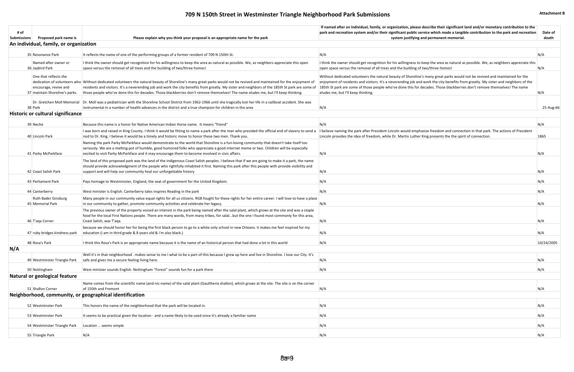# **709 N 150th Street in Westminster Triangle Neighborhood Park Submissions Attachment B Attachment B**

|                    |                                                         |                                                                                                                                                                                                                                                                                        | If named after an individual, family, or organization, please describe their significant land and/or monetary contribution to the                               |            |
|--------------------|---------------------------------------------------------|----------------------------------------------------------------------------------------------------------------------------------------------------------------------------------------------------------------------------------------------------------------------------------------|-----------------------------------------------------------------------------------------------------------------------------------------------------------------|------------|
| # of               |                                                         |                                                                                                                                                                                                                                                                                        | park and recreation system and/or their significant public service which made a tangible contribution to the park and recreation                                | Date of    |
| <b>Submissions</b> | Proposed park name is                                   | Please explain why you think your proposal is an appropriate name for the park                                                                                                                                                                                                         | system justifying and permanent memorial.                                                                                                                       | death      |
|                    | An individual, family, or organization                  |                                                                                                                                                                                                                                                                                        |                                                                                                                                                                 |            |
|                    |                                                         |                                                                                                                                                                                                                                                                                        |                                                                                                                                                                 |            |
|                    | 35 Resonance Park                                       | It reflects the name of one of the performing groups of a former resident of 709 N 150th St.                                                                                                                                                                                           | N/A                                                                                                                                                             | N/A        |
|                    | Named after owner or                                    | I think the owner should get recognition for his willingness to keep the area as natural as possible. We, as neighbors appreciate this open                                                                                                                                            | I think the owner should get recognition for his willingness to keep the area as natural as possible. We, as neighbors appreciate this                          |            |
|                    | 36 Jaybird Park                                         | space versus the removal of all trees and the building of two/three homes!                                                                                                                                                                                                             | open space versus the removal of all trees and the building of two/three homes!                                                                                 | N/A        |
|                    |                                                         |                                                                                                                                                                                                                                                                                        |                                                                                                                                                                 |            |
|                    | One that reflects the                                   |                                                                                                                                                                                                                                                                                        | Without dedicated volunteers the natural beauty of Shoreline's many great parks would not be revived and maintained for the                                     |            |
|                    |                                                         | dedication of volunteers who Without dedicated volunteers the natural beauty of Shoreline's many great parks would not be revived and maintained for the enjoyment of                                                                                                                  | enjoyment of residents and visitors. It's a neverending job and work the city benefits from greatly. My sister and neighbors of the                             |            |
|                    | encourage, revive and<br>37 maintain Shoreline's parks. | residents and visitors. It's a neverending job and work the city benefits from greatly. My sister and neighbors of the 185th St park are some of<br>those people who've done this for decades. Those blackberries don't remove themselves! The name eludes me, but I'll keep thinking. | 185th St park are some of those people who've done this for decades. Those blackberries don't remove themselves! The name<br>eludes me, but I'll keep thinking. | N/A        |
|                    |                                                         |                                                                                                                                                                                                                                                                                        |                                                                                                                                                                 |            |
|                    |                                                         | Dr. Gretchen Moll Memorial Dr. Moll was a pediatrician with the Shoreline School District from 1962-1966 until she tragically lost her life in a sailboat accident. She was                                                                                                            |                                                                                                                                                                 |            |
|                    | 38 Park                                                 | instrumental in a number of health advances in the district and a true champion for children in the area                                                                                                                                                                               | N/A                                                                                                                                                             | 25-Aug-66  |
|                    | Historic or cultural significance                       |                                                                                                                                                                                                                                                                                        |                                                                                                                                                                 |            |
|                    |                                                         |                                                                                                                                                                                                                                                                                        |                                                                                                                                                                 |            |
|                    | 39 Neche                                                | Because this name is a honor for Native American Indian Horse name. It means "friend"                                                                                                                                                                                                  | N/A                                                                                                                                                             | N/A        |
|                    |                                                         | I was born and raised in King County. I think it would be fitting to name a park after the man who presided the official end of slavery to send a                                                                                                                                      | I believe naming the park after President Lincoln would emphasize freedom and connection in that park. The actions of President                                 |            |
|                    | 40 Lincoln Park                                         | nod to Dr. King. I believe it would be a timely and historic move to honor these two men. Thank you.                                                                                                                                                                                   | Lincoln provides the idea of freedom, while Dr. Martin Luther King presents the the spirit of connection.                                                       | 1865       |
|                    |                                                         | Naming the park Parky McParkface would demonstrate to the world that Shoreline is a fun-loving community that doesn't take itself too                                                                                                                                                  |                                                                                                                                                                 |            |
|                    |                                                         | seriously. We are a melting pot of humble, good humored folks who appreciate a good internet meme or two. Children will be especially                                                                                                                                                  |                                                                                                                                                                 |            |
|                    | 41 Parky McParkface                                     | excited to visit Parky McParkface and it may encourage them to become involved in civic affairs.                                                                                                                                                                                       | N/A                                                                                                                                                             | N/A        |
|                    |                                                         | The land of this proposed park was the land of the indigenous Coast Salish peoples. I believe that if we are going to make it a park, the name                                                                                                                                         |                                                                                                                                                                 |            |
|                    |                                                         | should provide acknowledgment of the people who rightfully inhabited it first. Naming this park after this people with provide visibility and                                                                                                                                          |                                                                                                                                                                 |            |
|                    | 42 Coast Salish Park                                    | support and will help our community heal our unforgettable history                                                                                                                                                                                                                     | N/A                                                                                                                                                             | N/A        |
|                    |                                                         |                                                                                                                                                                                                                                                                                        |                                                                                                                                                                 |            |
|                    | 43 Parliament Park                                      | Pays homage to Westminster, England, the seat of government for the United Kingdom.                                                                                                                                                                                                    | N/A                                                                                                                                                             | N/A        |
|                    | 44 Canterberry                                          | West minister is English. Canterberry tales inspires Reading in the park                                                                                                                                                                                                               | N/A                                                                                                                                                             | N/A        |
|                    | <b>Ruth Bader Ginsburg</b>                              | Many people in our community value equal rights for all us citizens. RGB fought for these rights for her entire career. I will love to have a place                                                                                                                                    |                                                                                                                                                                 |            |
|                    | 45 Memorial Park                                        | in our community to gather, promote community activities and celebrate her legacy.                                                                                                                                                                                                     | N/A                                                                                                                                                             | N/A        |
|                    |                                                         | The previous owner of the property voiced an interest in the park being named after the salal plant, which grows at the site and was a staple                                                                                                                                          |                                                                                                                                                                 |            |
|                    |                                                         | food for the local First Nations people. There are many words, from many tribes, for salalbut the one I found most commonly for this area,                                                                                                                                             |                                                                                                                                                                 |            |
|                    | 46 T'aga Corner                                         | Coast Salish, was T'aga.                                                                                                                                                                                                                                                               | N/A                                                                                                                                                             | N/A        |
|                    |                                                         | because we should honor her for being the first black person to go to a white only school in new Orleans. it makes me feel inspired for my                                                                                                                                             |                                                                                                                                                                 |            |
|                    | 47 ruby bridges kindness park                           | education (i am in third grade & 8 years old & i'm also black.)                                                                                                                                                                                                                        | N/A                                                                                                                                                             |            |
|                    |                                                         |                                                                                                                                                                                                                                                                                        |                                                                                                                                                                 |            |
|                    | 48 Rosa's Park                                          | I think this Rosa's Park is an appropriate name because it is the name of an historical person that had done a lot in this world                                                                                                                                                       | N/A                                                                                                                                                             | 10/24/2005 |
| N/A                |                                                         |                                                                                                                                                                                                                                                                                        |                                                                                                                                                                 |            |
|                    |                                                         | Well it's in that neighborhood. makes sense to me I what to be a part of this because I grew up here and live in Shoreline. I love our City. It's                                                                                                                                      |                                                                                                                                                                 |            |
|                    | 49 Westminster Triangle Park                            | safe and gives me a secure feeling living here.                                                                                                                                                                                                                                        | N/A                                                                                                                                                             | N/A        |
|                    |                                                         |                                                                                                                                                                                                                                                                                        |                                                                                                                                                                 |            |
|                    | 50 Nottingham                                           | West minister sounds English. Nottingham "Forest" sounds fun for a park there                                                                                                                                                                                                          | N/A                                                                                                                                                             | N/A        |
|                    | Natural or geological feature                           |                                                                                                                                                                                                                                                                                        |                                                                                                                                                                 |            |
|                    |                                                         | Name comes from the scientific name (and nic-name) of the salal plant (Gaultheria shallon), which grows at the site. The site is on the corner                                                                                                                                         |                                                                                                                                                                 |            |
|                    | 51 Shallon Corner                                       | of 150th and Fremont                                                                                                                                                                                                                                                                   | N/A                                                                                                                                                             | N/A        |
|                    |                                                         | Neighborhood, community, or geographical identification                                                                                                                                                                                                                                |                                                                                                                                                                 |            |
|                    |                                                         |                                                                                                                                                                                                                                                                                        |                                                                                                                                                                 |            |
|                    | 52 Westminster Park                                     | This honors the name of the neighborhood that the park will be located in.                                                                                                                                                                                                             | N/A                                                                                                                                                             | N/A        |
|                    | 53 Westminster Park                                     | It seems to be practical given the location - and a name likely to be used since it's already a familiar name                                                                                                                                                                          | N/A                                                                                                                                                             | N/A        |
|                    |                                                         |                                                                                                                                                                                                                                                                                        |                                                                                                                                                                 |            |
|                    | 54 Westminster Triangle Park                            | Location  seems simple                                                                                                                                                                                                                                                                 | N/A                                                                                                                                                             | N/A        |
|                    |                                                         |                                                                                                                                                                                                                                                                                        |                                                                                                                                                                 |            |
|                    | 55 Triangle Park                                        | N/A                                                                                                                                                                                                                                                                                    | N/A                                                                                                                                                             | N/A        |